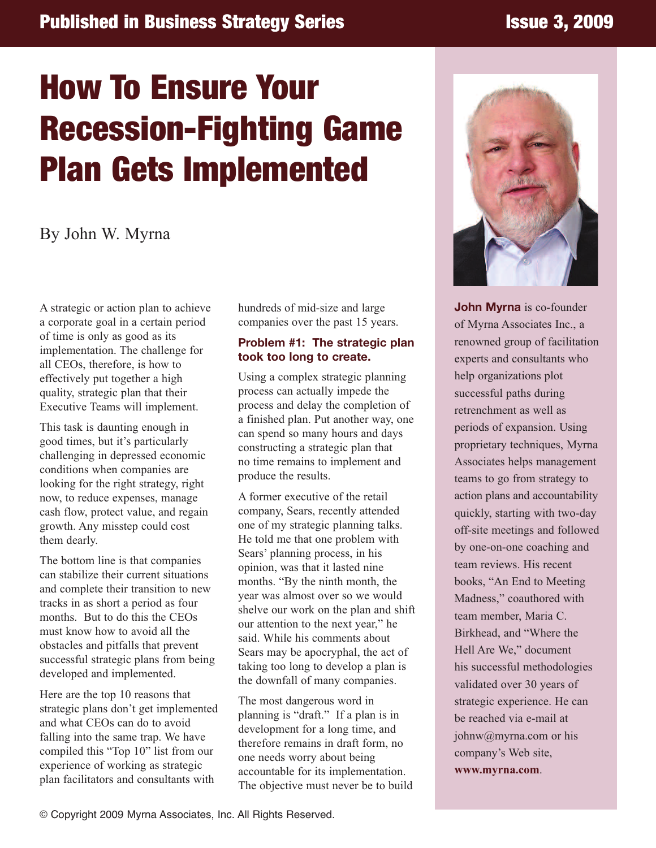## **Published in Business Strategy Series Issue 3, 2009**

# **How To Ensure Your Recession-Fighting Game Plan Gets Implemented**

### By John W. Myrna

A strategic or action plan to achieve a corporate goal in a certain period of time is only as good as its implementation. The challenge for all CEOs, therefore, is how to effectively put together a high quality, strategic plan that their Executive Teams will implement.

This task is daunting enough in good times, but it's particularly challenging in depressed economic conditions when companies are looking for the right strategy, right now, to reduce expenses, manage cash flow, protect value, and regain growth. Any misstep could cost them dearly.

The bottom line is that companies can stabilize their current situations and complete their transition to new tracks in as short a period as four months. But to do this the CEOs must know how to avoid all the obstacles and pitfalls that prevent successful strategic plans from being developed and implemented.

Here are the top 10 reasons that strategic plans don't get implemented and what CEOs can do to avoid falling into the same trap. We have compiled this "Top 10" list from our experience of working as strategic plan facilitators and consultants with

hundreds of mid-size and large companies over the past 15 years.

#### **Problem #1: The strategic plan took too long to create.**

Using a complex strategic planning process can actually impede the process and delay the completion of a finished plan. Put another way, one can spend so many hours and days constructing a strategic plan that no time remains to implement and produce the results.

A former executive of the retail company, Sears, recently attended one of my strategic planning talks. He told me that one problem with Sears' planning process, in his opinion, was that it lasted nine months. "By the ninth month, the year was almost over so we would shelve our work on the plan and shift our attention to the next year," he said. While his comments about Sears may be apocryphal, the act of taking too long to develop a plan is the downfall of many companies.

The most dangerous word in planning is "draft." If a plan is in development for a long time, and therefore remains in draft form, no one needs worry about being accountable for its implementation. The objective must never be to build



**John Myrna** is co-founder of Myrna Associates Inc., a renowned group of facilitation experts and consultants who help organizations plot successful paths during retrenchment as well as periods of expansion. Using proprietary techniques, Myrna Associates helps management teams to go from strategy to action plans and accountability quickly, starting with two-day off-site meetings and followed by one-on-one coaching and team reviews. His recent books, "An End to Meeting Madness," coauthored with team member, Maria C. Birkhead, and "Where the Hell Are We," document his successful methodologies validated over 30 years of strategic experience. He can be reached via e-mail at johnw@myrna.com or his company's Web site, **www.myrna.com**.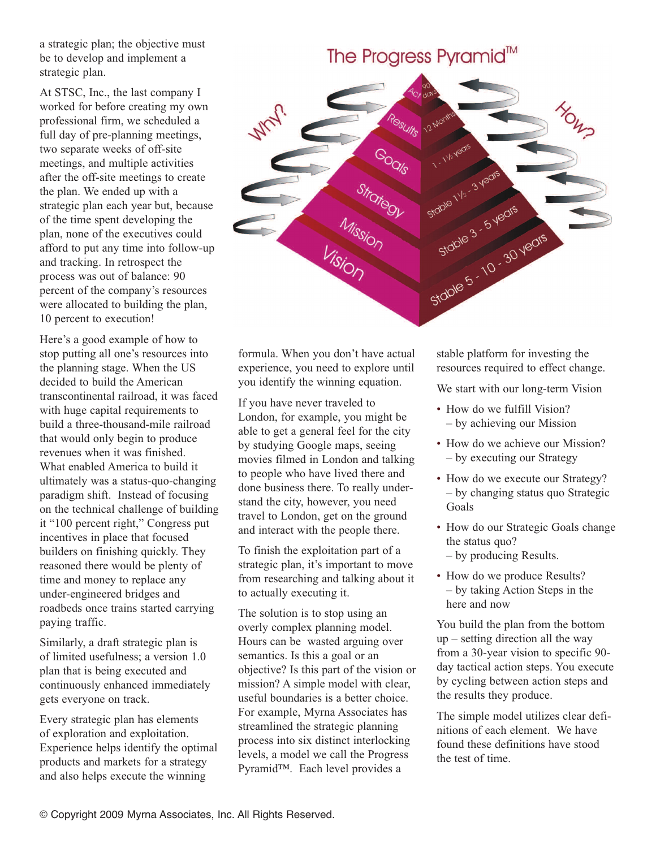a strategic plan; the objective must be to develop and implement a strategic plan.

At STSC, Inc., the last company I worked for before creating my own professional firm, we scheduled a full day of pre-planning meetings, two separate weeks of off-site meetings, and multiple activities after the off-site meetings to create the plan. We ended up with a strategic plan each year but, because of the time spent developing the plan, none of the executives could afford to put any time into follow-up and tracking. In retrospect the process was out of balance: 90 percent of the company's resources were allocated to building the plan, 10 percent to execution!

Here's a good example of how to stop putting all one's resources into the planning stage. When the US decided to build the American transcontinental railroad, it was faced with huge capital requirements to build a three-thousand-mile railroad that would only begin to produce revenues when it was finished. What enabled America to build it ultimately was a status-quo-changing paradigm shift. Instead of focusing on the technical challenge of building it "100 percent right," Congress put incentives in place that focused builders on finishing quickly. They reasoned there would be plenty of time and money to replace any under-engineered bridges and roadbeds once trains started carrying paying traffic.

Similarly, a draft strategic plan is of limited usefulness; a version 1.0 plan that is being executed and continuously enhanced immediately gets everyone on track.

Every strategic plan has elements of exploration and exploitation. Experience helps identify the optimal products and markets for a strategy and also helps execute the winning

## The Progress Pyramid<sup>™</sup>



formula. When you don't have actual experience, you need to explore until you identify the winning equation.

If you have never traveled to London, for example, you might be able to get a general feel for the city by studying Google maps, seeing movies filmed in London and talking to people who have lived there and done business there. To really understand the city, however, you need travel to London, get on the ground and interact with the people there.

To finish the exploitation part of a strategic plan, it's important to move from researching and talking about it to actually executing it.

The solution is to stop using an overly complex planning model. Hours can be wasted arguing over semantics. Is this a goal or an objective? Is this part of the vision or mission? A simple model with clear, useful boundaries is a better choice. For example, Myrna Associates has streamlined the strategic planning process into six distinct interlocking levels, a model we call the Progress Pyramid™. Each level provides a

stable platform for investing the resources required to effect change.

We start with our long-term Vision

- How do we fulfill Vision? – by achieving our Mission
- How do we achieve our Mission? – by executing our Strategy
- How do we execute our Strategy? – by changing status quo Strategic Goals
- How do our Strategic Goals change the status quo? – by producing Results.
- How do we produce Results? – by taking Action Steps in the here and now

You build the plan from the bottom up – setting direction all the way from a 30-year vision to specific 90 day tactical action steps. You execute by cycling between action steps and the results they produce.

The simple model utilizes clear definitions of each element. We have found these definitions have stood the test of time.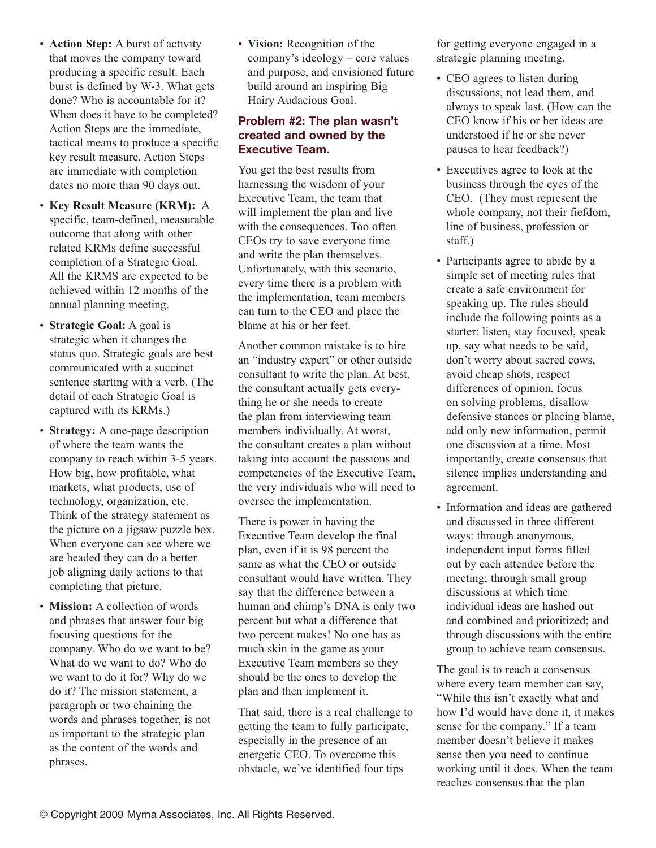- **Action Step:** A burst of activity that moves the company toward producing a specific result. Each burst is defined by W-3. What gets done? Who is accountable for it? When does it have to be completed? Action Steps are the immediate, tactical means to produce a specific key result measure. Action Steps are immediate with completion dates no more than 90 days out.
- **Key Result Measure (KRM):** A specific, team-defined, measurable outcome that along with other related KRMs define successful completion of a Strategic Goal. All the KRMS are expected to be achieved within 12 months of the annual planning meeting.
- **Strategic Goal:** A goal is strategic when it changes the status quo. Strategic goals are best communicated with a succinct sentence starting with a verb. (The detail of each Strategic Goal is captured with its KRMs.)
- **Strategy:** A one-page description of where the team wants the company to reach within 3-5 years. How big, how profitable, what markets, what products, use of technology, organization, etc. Think of the strategy statement as the picture on a jigsaw puzzle box. When everyone can see where we are headed they can do a better job aligning daily actions to that completing that picture.
- **Mission:** A collection of words and phrases that answer four big focusing questions for the company. Who do we want to be? What do we want to do? Who do we want to do it for? Why do we do it? The mission statement, a paragraph or two chaining the words and phrases together, is not as important to the strategic plan as the content of the words and phrases.

• **Vision:** Recognition of the company's ideology – core values and purpose, and envisioned future build around an inspiring Big Hairy Audacious Goal.

#### **Problem #2: The plan wasn't created and owned by the Executive Team.**

You get the best results from harnessing the wisdom of your Executive Team, the team that will implement the plan and live with the consequences. Too often CEOs try to save everyone time and write the plan themselves. Unfortunately, with this scenario, every time there is a problem with the implementation, team members can turn to the CEO and place the blame at his or her feet.

Another common mistake is to hire an "industry expert" or other outside consultant to write the plan. At best, the consultant actually gets everything he or she needs to create the plan from interviewing team members individually. At worst, the consultant creates a plan without taking into account the passions and competencies of the Executive Team, the very individuals who will need to oversee the implementation.

There is power in having the Executive Team develop the final plan, even if it is 98 percent the same as what the CEO or outside consultant would have written. They say that the difference between a human and chimp's DNA is only two percent but what a difference that two percent makes! No one has as much skin in the game as your Executive Team members so they should be the ones to develop the plan and then implement it.

That said, there is a real challenge to getting the team to fully participate, especially in the presence of an energetic CEO. To overcome this obstacle, we've identified four tips

for getting everyone engaged in a strategic planning meeting.

- CEO agrees to listen during discussions, not lead them, and always to speak last. (How can the CEO know if his or her ideas are understood if he or she never pauses to hear feedback?)
- Executives agree to look at the business through the eyes of the CEO. (They must represent the whole company, not their fiefdom, line of business, profession or staff.)
- Participants agree to abide by a simple set of meeting rules that create a safe environment for speaking up. The rules should include the following points as a starter: listen, stay focused, speak up, say what needs to be said, don't worry about sacred cows, avoid cheap shots, respect differences of opinion, focus on solving problems, disallow defensive stances or placing blame, add only new information, permit one discussion at a time. Most importantly, create consensus that silence implies understanding and agreement.
- Information and ideas are gathered and discussed in three different ways: through anonymous, independent input forms filled out by each attendee before the meeting; through small group discussions at which time individual ideas are hashed out and combined and prioritized; and through discussions with the entire group to achieve team consensus.

The goal is to reach a consensus where every team member can say, "While this isn't exactly what and how I'd would have done it, it makes sense for the company." If a team member doesn't believe it makes sense then you need to continue working until it does. When the team reaches consensus that the plan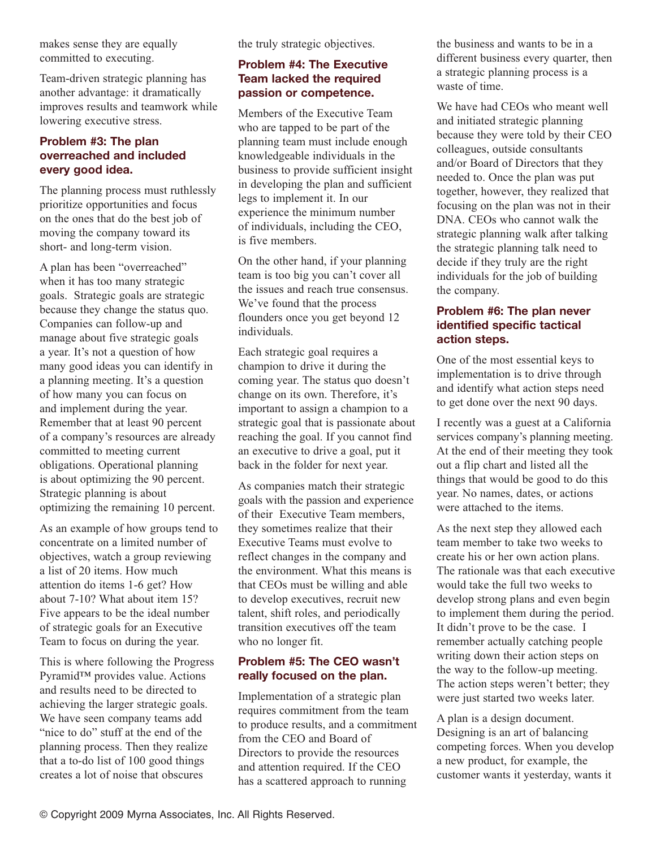makes sense they are equally committed to executing.

Team-driven strategic planning has another advantage: it dramatically improves results and teamwork while lowering executive stress.

#### **Problem #3: The plan overreached and included every good idea.**

The planning process must ruthlessly prioritize opportunities and focus on the ones that do the best job of moving the company toward its short- and long-term vision.

A plan has been "overreached" when it has too many strategic goals. Strategic goals are strategic because they change the status quo. Companies can follow-up and manage about five strategic goals a year. It's not a question of how many good ideas you can identify in a planning meeting. It's a question of how many you can focus on and implement during the year. Remember that at least 90 percent of a company's resources are already committed to meeting current obligations. Operational planning is about optimizing the 90 percent. Strategic planning is about optimizing the remaining 10 percent.

As an example of how groups tend to concentrate on a limited number of objectives, watch a group reviewing a list of 20 items. How much attention do items 1-6 get? How about 7-10? What about item 15? Five appears to be the ideal number of strategic goals for an Executive Team to focus on during the year.

This is where following the Progress Pyramid™ provides value. Actions and results need to be directed to achieving the larger strategic goals. We have seen company teams add "nice to do" stuff at the end of the planning process. Then they realize that a to-do list of 100 good things creates a lot of noise that obscures

the truly strategic objectives.

#### **Problem #4: The Executive Team lacked the required passion or competence.**

Members of the Executive Team who are tapped to be part of the planning team must include enough knowledgeable individuals in the business to provide sufficient insight in developing the plan and sufficient legs to implement it. In our experience the minimum number of individuals, including the CEO, is five members.

On the other hand, if your planning team is too big you can't cover all the issues and reach true consensus. We've found that the process flounders once you get beyond 12 individuals.

Each strategic goal requires a champion to drive it during the coming year. The status quo doesn't change on its own. Therefore, it's important to assign a champion to a strategic goal that is passionate about reaching the goal. If you cannot find an executive to drive a goal, put it back in the folder for next year.

As companies match their strategic goals with the passion and experience of their Executive Team members, they sometimes realize that their Executive Teams must evolve to reflect changes in the company and the environment. What this means is that CEOs must be willing and able to develop executives, recruit new talent, shift roles, and periodically transition executives off the team who no longer fit.

#### **Problem #5: The CEO wasn't really focused on the plan.**

Implementation of a strategic plan requires commitment from the team to produce results, and a commitment from the CEO and Board of Directors to provide the resources and attention required. If the CEO has a scattered approach to running

the business and wants to be in a different business every quarter, then a strategic planning process is a waste of time.

We have had CEOs who meant well and initiated strategic planning because they were told by their CEO colleagues, outside consultants and/or Board of Directors that they needed to. Once the plan was put together, however, they realized that focusing on the plan was not in their DNA. CEOs who cannot walk the strategic planning walk after talking the strategic planning talk need to decide if they truly are the right individuals for the job of building the company.

#### **Problem #6: The plan never identified specific tactical action steps.**

One of the most essential keys to implementation is to drive through and identify what action steps need to get done over the next 90 days.

I recently was a guest at a California services company's planning meeting. At the end of their meeting they took out a flip chart and listed all the things that would be good to do this year. No names, dates, or actions were attached to the items.

As the next step they allowed each team member to take two weeks to create his or her own action plans. The rationale was that each executive would take the full two weeks to develop strong plans and even begin to implement them during the period. It didn't prove to be the case. I remember actually catching people writing down their action steps on the way to the follow-up meeting. The action steps weren't better; they were just started two weeks later.

A plan is a design document. Designing is an art of balancing competing forces. When you develop a new product, for example, the customer wants it yesterday, wants it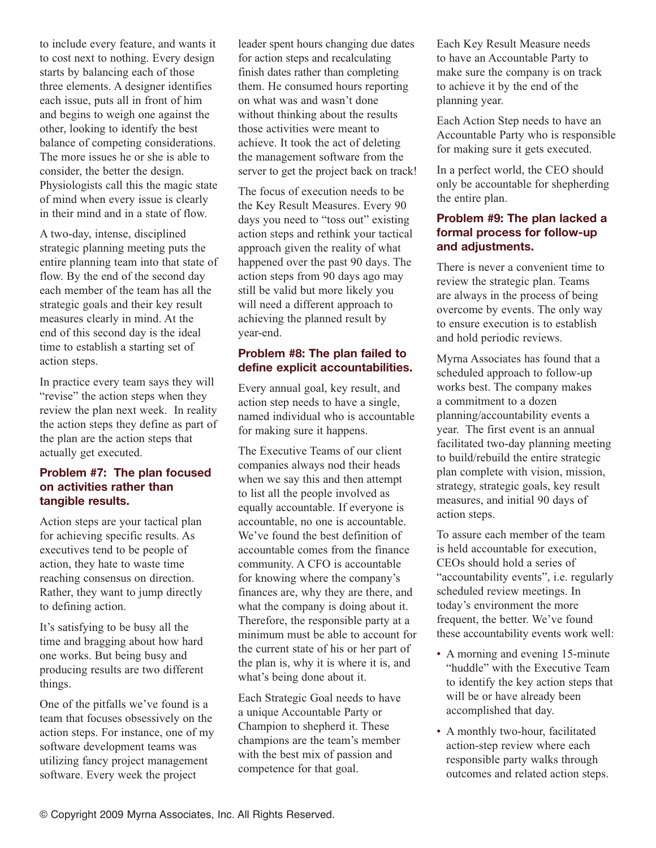to include every feature, and wants it to cost next to nothing. Every design starts by balancing each of those three elements. A designer identifies each issue, puts all in front of him and begins to weigh one against the other, looking to identify the best balance of competing considerations. The more issues he or she is able to consider, the better the design. Physiologists call this the magic state of mind when every issue is clearly in their mind and in a state of flow.

A two-day, intense, disciplined strategic planning meeting puts the entire planning team into that state of flow. By the end of the second day each member of the team has all the strategic goals and their key result measures clearly in mind. At the end of this second day is the ideal time to establish a starting set of action steps.

In practice every team says they will "revise" the action steps when they review the plan next week. In reality the action steps they define as part of the plan are the action steps that actually get executed.

#### **Problem #7: The plan focused on activities rather than tangible results.**

Action steps are your tactical plan for achieving specific results. As executives tend to be people of action, they hate to waste time reaching consensus on direction. Rather, they want to jump directly to defining action.

It's satisfying to be busy all the time and bragging about how hard one works. But being busy and producing results are two different things.

One of the pitfalls we've found is a team that focuses obsessively on the action steps. For instance, one of my software development teams was utilizing fancy project management software. Every week the project

leader spent hours changing due dates for action steps and recalculating finish dates rather than completing them. He consumed hours reporting on what was and wasn't done without thinking about the results those activities were meant to achieve. It took the act of deleting the management software from the server to get the project back on track!

The focus of execution needs to be the Key Result Measures. Every 90 days you need to "toss out" existing action steps and rethink your tactical approach given the reality of what happened over the past 90 days. The action steps from 90 days ago may still be valid but more likely you will need a different approach to achieving the planned result by year-end.

#### **Problem #8: The plan failed to define explicit accountabilities.**

Every annual goal, key result, and action step needs to have a single, named individual who is accountable for making sure it happens.

The Executive Teams of our client companies always nod their heads when we say this and then attempt to list all the people involved as equally accountable. If everyone is accountable, no one is accountable. We've found the best definition of accountable comes from the finance community. A CFO is accountable for knowing where the company's finances are, why they are there, and what the company is doing about it. Therefore, the responsible party at a minimum must be able to account for the current state of his or her part of the plan is, why it is where it is, and what's being done about it.

Each Strategic Goal needs to have a unique Accountable Party or Champion to shepherd it. These champions are the team's member with the best mix of passion and competence for that goal.

Each Key Result Measure needs to have an Accountable Party to make sure the company is on track to achieve it by the end of the planning year.

Each Action Step needs to have an Accountable Party who is responsible for making sure it gets executed.

In a perfect world, the CEO should only be accountable for shepherding the entire plan.

#### **Problem #9: The plan lacked a formal process for follow-up and adjustments.**

There is never a convenient time to review the strategic plan. Teams are always in the process of being overcome by events. The only way to ensure execution is to establish and hold periodic reviews.

Myrna Associates has found that a scheduled approach to follow-up works best. The company makes a commitment to a dozen planning/accountability events a year. The first event is an annual facilitated two-day planning meeting to build/rebuild the entire strategic plan complete with vision, mission, strategy, strategic goals, key result measures, and initial 90 days of action steps.

To assure each member of the team is held accountable for execution, CEOs should hold a series of "accountability events", i.e. regularly scheduled review meetings. In today's environment the more frequent, the better. We've found these accountability events work well:

- A morning and evening 15-minute "huddle" with the Executive Team to identify the key action steps that will be or have already been accomplished that day.
- A monthly two-hour, facilitated action-step review where each responsible party walks through outcomes and related action steps.